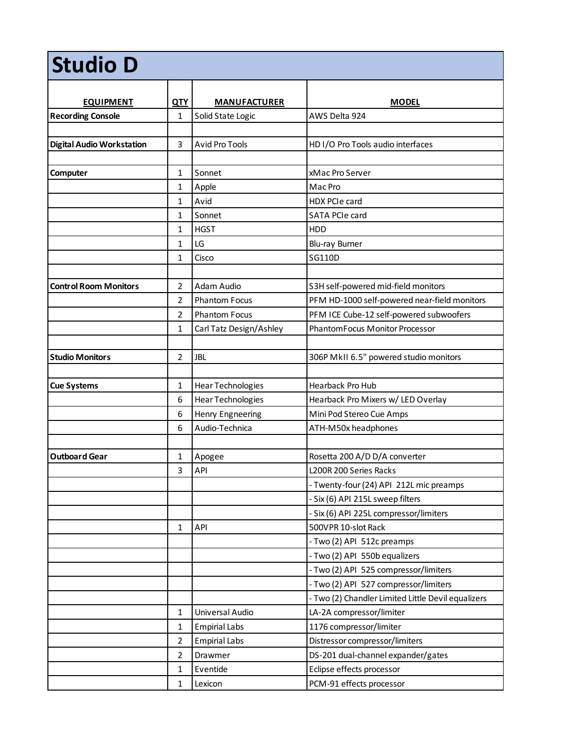| <b>Studio D</b>                  |                |                          |                                                    |  |  |
|----------------------------------|----------------|--------------------------|----------------------------------------------------|--|--|
| <b>EQUIPMENT</b>                 | <b>QTY</b>     | <b>MANUFACTURER</b>      | <b>MODEL</b>                                       |  |  |
| <b>Recording Console</b>         | 1              | Solid State Logic        | AWS Delta 924                                      |  |  |
|                                  |                |                          |                                                    |  |  |
| <b>Digital Audio Workstation</b> | 3              | Avid Pro Tools           | HD I/O Pro Tools audio interfaces                  |  |  |
|                                  |                |                          |                                                    |  |  |
| Computer                         | 1              | Sonnet                   | xMac Pro Server                                    |  |  |
|                                  | $\mathbf{1}$   | Apple                    | Mac Pro                                            |  |  |
|                                  | $\mathbf{1}$   | Avid                     | HDX PCIe card                                      |  |  |
|                                  | 1              | Sonnet                   | SATA PCIe card                                     |  |  |
|                                  | 1              | <b>HGST</b>              | HDD                                                |  |  |
|                                  | 1              | LG                       | Blu-ray Burner                                     |  |  |
|                                  | 1              | Cisco                    | SG110D                                             |  |  |
|                                  |                |                          |                                                    |  |  |
| <b>Control Room Monitors</b>     | 2              | Adam Audio               | S3H self-powered mid-field monitors                |  |  |
|                                  | $\overline{2}$ | <b>Phantom Focus</b>     | PFM HD-1000 self-powered near-field monitors       |  |  |
|                                  | 2              | <b>Phantom Focus</b>     | PFM ICE Cube-12 self-powered subwoofers            |  |  |
|                                  | 1              | Carl Tatz Design/Ashley  | PhantomFocus Monitor Processor                     |  |  |
|                                  |                |                          |                                                    |  |  |
| <b>Studio Monitors</b>           | 2              | <b>JBL</b>               | 306P MkII 6.5" powered studio monitors             |  |  |
|                                  |                |                          |                                                    |  |  |
| <b>Cue Systems</b>               | $\mathbf{1}$   | <b>Hear Technologies</b> | Hearback Pro Hub                                   |  |  |
|                                  | 6              | Hear Technologies        | Hearback Pro Mixers w/ LED Overlay                 |  |  |
|                                  | 6              | Henry Engneering         | Mini Pod Stereo Cue Amps                           |  |  |
|                                  | 6              | Audio-Technica           | ATH-M50x headphones                                |  |  |
|                                  |                |                          |                                                    |  |  |
| <b>Outboard Gear</b>             | 1              | Apogee                   | Rosetta 200 A/D D/A converter                      |  |  |
|                                  | 3              | API                      | L200R 200 Series Racks                             |  |  |
|                                  |                |                          | - Twenty-four (24) API 212L mic preamps            |  |  |
|                                  |                |                          | - Six (6) API 215L sweep filters                   |  |  |
|                                  |                |                          | - Six (6) API 225L compressor/limiters             |  |  |
|                                  | $\mathbf{1}$   | API                      | 500VPR 10-slot Rack                                |  |  |
|                                  |                |                          | - Two (2) API 512c preamps                         |  |  |
|                                  |                |                          | - Two (2) API 550b equalizers                      |  |  |
|                                  |                |                          | - Two (2) API 525 compressor/limiters              |  |  |
|                                  |                |                          | - Two (2) API 527 compressor/limiters              |  |  |
|                                  |                |                          | - Two (2) Chandler Limited Little Devil equalizers |  |  |
|                                  | $\mathbf{1}$   | Universal Audio          | LA-2A compressor/limiter                           |  |  |
|                                  | $\mathbf{1}$   | <b>Empirial Labs</b>     | 1176 compressor/limiter                            |  |  |
|                                  | $\overline{2}$ | <b>Empirial Labs</b>     | Distressor compressor/limiters                     |  |  |
|                                  | $\overline{2}$ | Drawmer                  | DS-201 dual-channel expander/gates                 |  |  |
|                                  | $\mathbf{1}$   | Eventide                 | Eclipse effects processor                          |  |  |
|                                  | $\mathbf{1}$   | Lexicon                  | PCM-91 effects processor                           |  |  |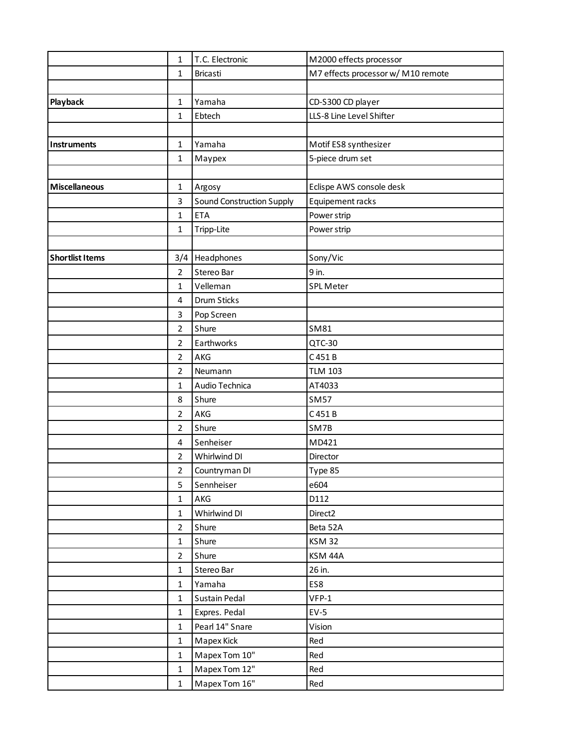| 1                                    | T.C. Electronic           | M2000 effects processor            |
|--------------------------------------|---------------------------|------------------------------------|
| $\mathbf{1}$                         | <b>Bricasti</b>           | M7 effects processor w/ M10 remote |
|                                      |                           |                                    |
| Playback<br>$\mathbf 1$              | Yamaha                    | CD-S300 CD player                  |
| 1                                    | Ebtech                    | LLS-8 Line Level Shifter           |
|                                      |                           |                                    |
| $\mathbf{1}$<br><b>Instruments</b>   | Yamaha                    | Motif ES8 synthesizer              |
| $\mathbf{1}$                         | Maypex                    | 5-piece drum set                   |
|                                      |                           |                                    |
| <b>Miscellaneous</b><br>$\mathbf{1}$ | Argosy                    | Eclispe AWS console desk           |
| 3                                    | Sound Construction Supply | Equipement racks                   |
| $\mathbf{1}$                         | <b>ETA</b>                | Power strip                        |
| $\mathbf{1}$                         | Tripp-Lite                | Power strip                        |
|                                      |                           |                                    |
| <b>Shortlist Items</b><br>3/4        | Headphones                | Sony/Vic                           |
| $\overline{2}$                       | Stereo Bar                | 9 in.                              |
| $\mathbf{1}$                         | Velleman                  | <b>SPL Meter</b>                   |
| 4                                    | Drum Sticks               |                                    |
| 3                                    | Pop Screen                |                                    |
| $\overline{2}$                       | Shure                     | SM81                               |
| $\overline{2}$                       | Earthworks                | QTC-30                             |
| $\overline{2}$                       | AKG                       | C 451 B                            |
| $\overline{2}$                       | Neumann                   | <b>TLM 103</b>                     |
| $\mathbf{1}$                         | Audio Technica            | AT4033                             |
| 8                                    | Shure                     | <b>SM57</b>                        |
| $\overline{2}$                       | AKG                       | C 451 B                            |
| $\overline{2}$                       | Shure                     | SM7B                               |
| 4                                    | Senheiser                 | MD421                              |
| $\overline{2}$                       | Whirlwind DI              | Director                           |
| $\overline{2}$                       | Countryman DI             | Type 85                            |
| 5                                    | Sennheiser                | e604                               |
| $\mathbf{1}$                         | AKG                       | D112                               |
| $\mathbf{1}$                         | Whirlwind DI              | Direct <sub>2</sub>                |
| $\overline{2}$                       | Shure                     | Beta 52A                           |
| $\mathbf{1}$                         | Shure                     | <b>KSM 32</b>                      |
| $\overline{2}$                       | Shure                     | KSM 44A                            |
| $\mathbf{1}$                         | Stereo Bar                | 26 in.                             |
| $\mathbf{1}$                         | Yamaha                    | ES8                                |
| $\mathbf{1}$                         | Sustain Pedal             | $VFP-1$                            |
| $\mathbf{1}$                         | Expres. Pedal             | $EV-5$                             |
| $\mathbf{1}$                         | Pearl 14" Snare           | Vision                             |
| $\mathbf{1}$                         | Mapex Kick                | Red                                |
| $\mathbf{1}$                         | Mapex Tom 10"             | Red                                |
| $\mathbf{1}$                         | Mapex Tom 12"             | Red                                |
| $\mathbf{1}$                         | Mapex Tom 16"             | Red                                |